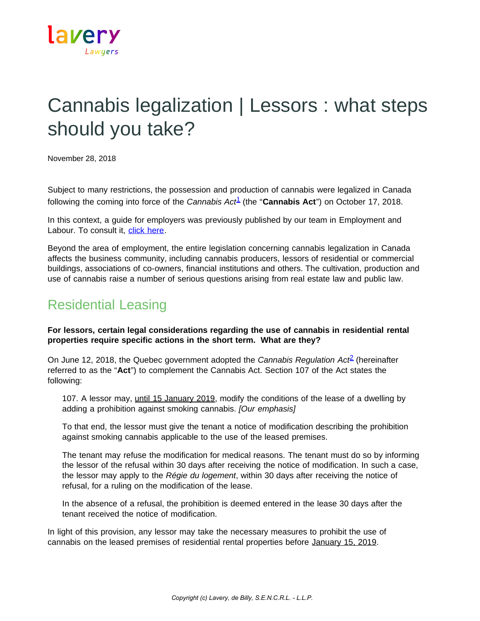

# Cannabis legalization | Lessors : what steps should you take?

November 28, 2018

Subject to many restrictions, the possession and production of cannabis were legalized in Canada following the coming into force of the *Cannabis Act*[1](https://www.lavery.ca/en/publications/our-publications/3148-cannabis-legalization-lessors-what-steps-should-you-take-.html#01) (the "**Cannabis Act**") on October 17, 2018.

In this context, a guide for employers was previously published by our team in Employment and Labour. To consult it, [click here.](https://www.lavery.ca/en/publications/our-publications/3141-cannabis-legalization-a-reference-guide-for-employers.html)

Beyond the area of employment, the entire legislation concerning cannabis legalization in Canada affects the business community, including cannabis producers, lessors of residential or commercial buildings, associations of co-owners, financial institutions and others. The cultivation, production and use of cannabis raise a number of serious questions arising from real estate law and public law.

## Residential Leasing

**For lessors, certain legal considerations regarding the use of cannabis in residential rental properties require specific actions in the short term. What are they?**

On June 12, 2018, the Quebec government adopted the *Cannabis Regulation Act*[2](https://www.lavery.ca/en/publications/our-publications/3148-cannabis-legalization-lessors-what-steps-should-you-take-.html#02) (hereinafter referred to as the "**Act**") to complement the Cannabis Act. Section 107 of the Act states the following:

107. A lessor may, until 15 January 2019, modify the conditions of the lease of a dwelling by adding a prohibition against smoking cannabis. *[Our emphasis]*

To that end, the lessor must give the tenant a notice of modification describing the prohibition against smoking cannabis applicable to the use of the leased premises.

The tenant may refuse the modification for medical reasons. The tenant must do so by informing the lessor of the refusal within 30 days after receiving the notice of modification. In such a case, the lessor may apply to the *Régie du logement*, within 30 days after receiving the notice of refusal, for a ruling on the modification of the lease.

In the absence of a refusal, the prohibition is deemed entered in the lease 30 days after the tenant received the notice of modification.

In light of this provision, any lessor may take the necessary measures to prohibit the use of cannabis on the leased premises of residential rental properties before January 15, 2019.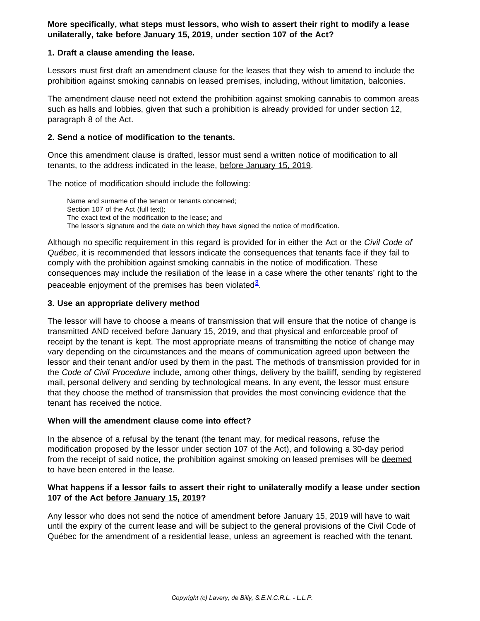**More specifically, what steps must lessors, who wish to assert their right to modify a lease unilaterally, take before January 15, 2019, under section 107 of the Act?**

#### **1. Draft a clause amending the lease.**

Lessors must first draft an amendment clause for the leases that they wish to amend to include the prohibition against smoking cannabis on leased premises, including, without limitation, balconies.

The amendment clause need not extend the prohibition against smoking cannabis to common areas such as halls and lobbies, given that such a prohibition is already provided for under section 12, paragraph 8 of the Act.

#### **2. Send a notice of modification to the tenants.**

Once this amendment clause is drafted, lessor must send a written notice of modification to all tenants, to the address indicated in the lease, before January 15, 2019.

The notice of modification should include the following:

Name and surname of the tenant or tenants concerned; Section 107 of the Act (full text): The exact text of the modification to the lease; and The lessor's signature and the date on which they have signed the notice of modification.

Although no specific requirement in this regard is provided for in either the Act or the *Civil Code of Québec*, it is recommended that lessors indicate the consequences that tenants face if they fail to comply with the prohibition against smoking cannabis in the notice of modification. These consequences may include the resiliation of the lease in a case where the other tenants' right to the peaceable enjoyment of the premises has been violated<sup>[3](https://www.lavery.ca/en/publications/our-publications/3148-cannabis-legalization-lessors-what-steps-should-you-take-.html#03)</sup>.

#### **3. Use an appropriate delivery method**

The lessor will have to choose a means of transmission that will ensure that the notice of change is transmitted AND received before January 15, 2019, and that physical and enforceable proof of receipt by the tenant is kept. The most appropriate means of transmitting the notice of change may vary depending on the circumstances and the means of communication agreed upon between the lessor and their tenant and/or used by them in the past. The methods of transmission provided for in the *Code of Civil Procedure* include, among other things, delivery by the bailiff, sending by registered mail, personal delivery and sending by technological means. In any event, the lessor must ensure that they choose the method of transmission that provides the most convincing evidence that the tenant has received the notice.

#### **When will the amendment clause come into effect?**

In the absence of a refusal by the tenant (the tenant may, for medical reasons, refuse the modification proposed by the lessor under section 107 of the Act), and following a 30-day period from the receipt of said notice, the prohibition against smoking on leased premises will be deemed to have been entered in the lease.

### **What happens if a lessor fails to assert their right to unilaterally modify a lease under section 107 of the Act before January 15, 2019?**

Any lessor who does not send the notice of amendment before January 15, 2019 will have to wait until the expiry of the current lease and will be subject to the general provisions of the Civil Code of Québec for the amendment of a residential lease, unless an agreement is reached with the tenant.